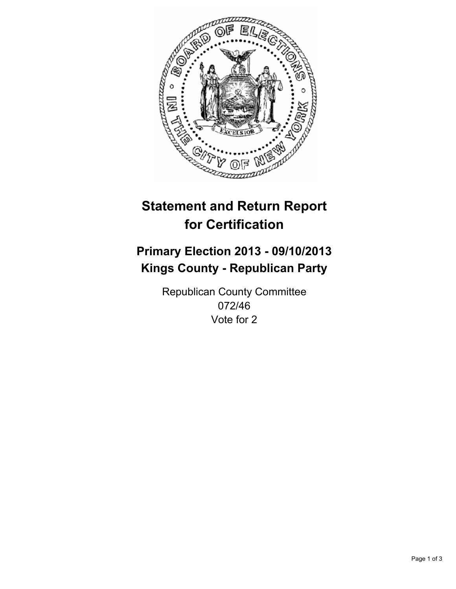

# **Statement and Return Report for Certification**

# **Primary Election 2013 - 09/10/2013 Kings County - Republican Party**

Republican County Committee 072/46 Vote for 2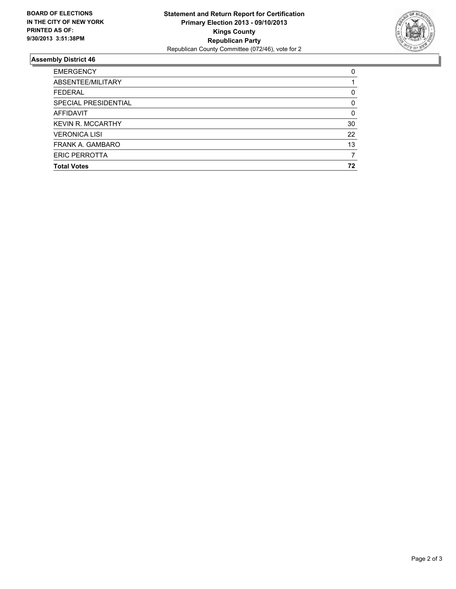

## **Assembly District 46**

| 0        |
|----------|
|          |
| 0        |
| 0        |
| $\Omega$ |
| 30       |
| 22       |
| 13       |
|          |
| 72       |
|          |